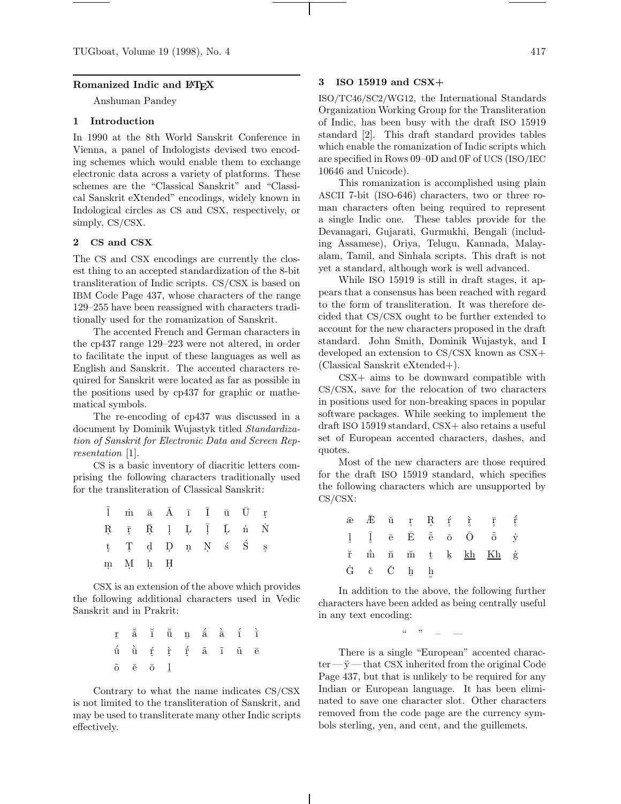### **Romanized Indic and LATEX**

Anshuman Pandey

# **1 Introduction**

In 1990 at the 8th World Sanskrit Conference in Vienna, a panel of Indologists devised two encoding schemes which would enable them to exchange electronic data across a variety of platforms. These schemes are the "Classical Sanskrit" and "Classical Sanskrit eXtended" encodings, widely known in Indological circles as CS and CSX, respectively, or simply, CS/CSX.

#### **2 CS and CSX**

The CS and CSX encodings are currently the closest thing to an accepted standardization of the 8-bit transliteration of Indic scripts. CS/CSX is based on IBM Code Page 437, whose characters of the range 129–255 have been reassigned with characters traditionally used for the romanization of Sanskrit.

The accented French and German characters in the cp437 range 129–223 were not altered, in order to facilitate the input of these languages as well as English and Sanskrit. The accented characters required for Sanskrit were located as far as possible in the positions used by cp437 for graphic or mathematical symbols.

The re-encoding of cp437 was discussed in a document by Dominik Wujastyk titled Standardization of Sanskrit for Electronic Data and Screen Representation [1].

CS is a basic inventory of diacritic letters comprising the following characters traditionally used for the transliteration of Classical Sanskrit:

| $\tilde{\mathbf{l}}$ m ā $\bar{\mathbf{A}}$ ī $\bar{\mathbf{l}}$ u<br>$\bar{\mathbf{U}}$ r                                                                                                        |  |  |  |  |
|---------------------------------------------------------------------------------------------------------------------------------------------------------------------------------------------------|--|--|--|--|
| $\begin{array}{ccccccccccccc} \mathbf{R} & \bar{\mathbf{r}} & \bar{\mathbf{R}} & \mathbf{l} & \mathbf{L} & \bar{\mathbf{l}} & \bar{\mathbf{L}} & \dot{\mathbf{n}} & \dot{\mathbf{N}} \end{array}$ |  |  |  |  |
| $\begin{array}{ccccccccccccc}\n t & T & d & D & n & N & s & S & s\n\end{array}$                                                                                                                   |  |  |  |  |
| $\begin{array}{ccc} \text{m} & \text{M} & \text{h} & \text{H} \end{array}$                                                                                                                        |  |  |  |  |

CSX is an extension of the above which provides the following additional characters used in Vedic Sanskrit and in Prakrit:

|                                                     |  |  | $\underline{\mathbf{r}}\quad \breve{\mathbf{a}}\quad \breve{\mathbf{i}}\quad \breve{\mathbf{u}}\quad \underbar{\mathbf{n}}\quad \breve{\mathbf{a}}\quad \breve{\mathbf{a}}\quad \breve{\mathbf{i}}\quad \breve{\mathbf{i}}$                  |  |
|-----------------------------------------------------|--|--|----------------------------------------------------------------------------------------------------------------------------------------------------------------------------------------------------------------------------------------------|--|
|                                                     |  |  | $\begin{array}{ccccccccccccccccc}\n\hat{\mathbf{u}} & \hat{\mathbf{u}} & \hat{\mathbf{r}} & \hat{\mathbf{r}} & \hat{\mathbf{r}} & \hat{\mathbf{a}} & \hat{\mathbf{a}} & \hat{\mathbf{u}} & \hat{\mathbf{u}} & \hat{\mathbf{e}}\n\end{array}$ |  |
| $\tilde{o}$ $\breve{e}$ $\breve{o}$ $\underline{1}$ |  |  |                                                                                                                                                                                                                                              |  |

Contrary to what the name indicates CS/CSX is not limited to the transliteration of Sanskrit, and may be used to transliterate many other Indic scripts effectively.

## **3 ISO 15919 and CSX+**

ISO/TC46/SC2/WG12, the International Standards Organization Working Group for the Transliteration of Indic, has been busy with the draft ISO 15919 standard [2]. This draft standard provides tables which enable the romanization of Indic scripts which are specified in Rows 09–0D and 0F of UCS (ISO/IEC 10646 and Unicode).

This romanization is accomplished using plain ASCII 7-bit (ISO-646) characters, two or three roman characters often being required to represent a single Indic one. These tables provide for the Devanagari, Gujarati, Gurmukhi, Bengali (including Assamese), Oriya, Telugu, Kannada, Malayalam, Tamil, and Sinhala scripts. This draft is not yet a standard, although work is well advanced.

While ISO 15919 is still in draft stages, it appears that a consensus has been reached with regard to the form of transliteration. It was therefore decided that CS/CSX ought to be further extended to account for the new characters proposed in the draft standard. John Smith, Dominik Wujastyk, and I developed an extension to CS/CSX known as CSX+ (Classical Sanskrit eXtended+).

CSX+ aims to be downward compatible with CS/CSX, save for the relocation of two characters in positions used for non-breaking spaces in popular software packages. While seeking to implement the draft ISO 15919 standard, CSX+ also retains a useful set of European accented characters, dashes, and quotes.

Most of the new characters are those required for the draft ISO 15919 standard, which specifies the following characters which are unsupported by CS/CSX:

|                                                                   |  |  | $\bar{\mathbf{z}}\hspace{-0.5mm}\bar{\mathbf{z}}\hspace{-0.5mm}\bar{\mathbf{w}}\hspace{-0.5mm}\bar{\mathbf{w}}\hspace{-0.5mm}\bar{\mathbf{w}}\hspace{-0.5mm}\bar{\mathbf{w}}\hspace{-0.5mm}\bar{\mathbf{w}}\hspace{-0.5mm}\bar{\mathbf{w}}\hspace{-0.5mm}\bar{\mathbf{w}}\hspace{-0.5mm}\bar{\mathbf{w}}\hspace{-0.5mm}\bar{\mathbf{w}}\hspace{-0.5mm}\bar{\mathbf{w}}\hspace{-0.5mm}\bar{\mathbf{w}}\hspace{-0.5mm}\bar{\mathbf{w}}\hspace{-$ |  |
|-------------------------------------------------------------------|--|--|------------------------------------------------------------------------------------------------------------------------------------------------------------------------------------------------------------------------------------------------------------------------------------------------------------------------------------------------------------------------------------------------------------------------------------------------|--|
|                                                                   |  |  | $\begin{array}{ccc} \n\frac{1}{2} & \overline{1} & \overline{e} & \overline{E} & \overline{e} & \overline{o} & \overline{O} & \overline{\hat{o}} & \overline{y} \n\end{array}$                                                                                                                                                                                                                                                                 |  |
|                                                                   |  |  | ř m n m t k kh Kh g                                                                                                                                                                                                                                                                                                                                                                                                                            |  |
| $\dot{G}$ $\check{c}$ $\check{C}$ $\underline{h}$ $\underline{h}$ |  |  |                                                                                                                                                                                                                                                                                                                                                                                                                                                |  |
|                                                                   |  |  |                                                                                                                                                                                                                                                                                                                                                                                                                                                |  |

In addition to the above, the following further characters have been added as being centrally useful in any text encoding:

 $\frac{a}{b}$  ",  $\frac{a}{c}$   $\frac{b}{c}$ 

There is a single "European" accented charac $ter - \ddot{y}$  — that CSX inherited from the original Code Page 437, but that is unlikely to be required for any Indian or European language. It has been eliminated to save one character slot. Other characters removed from the code page are the currency symbols sterling, yen, and cent, and the guillemets.